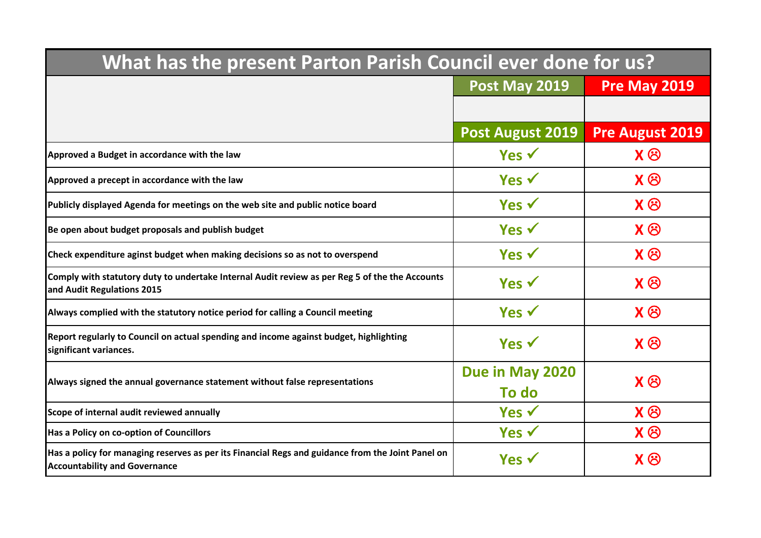| What has the present Parton Parish Council ever done for us?                                                                              |                          |                        |  |
|-------------------------------------------------------------------------------------------------------------------------------------------|--------------------------|------------------------|--|
|                                                                                                                                           | Post May 2019            | <b>Pre May 2019</b>    |  |
|                                                                                                                                           |                          |                        |  |
|                                                                                                                                           | <b>Post August 2019</b>  | <b>Pre August 2019</b> |  |
| Approved a Budget in accordance with the law                                                                                              | Yes $\checkmark$         | $X \otimes$            |  |
| Approved a precept in accordance with the law                                                                                             | Yes $\checkmark$         | $X \otimes$            |  |
| Publicly displayed Agenda for meetings on the web site and public notice board                                                            | Yes $\checkmark$         | $X \otimes$            |  |
| Be open about budget proposals and publish budget                                                                                         | Yes $\checkmark$         | $X \otimes$            |  |
| Check expenditure aginst budget when making decisions so as not to overspend                                                              | Yes $\checkmark$         | $X \otimes$            |  |
| Comply with statutory duty to undertake Internal Audit review as per Reg 5 of the the Accounts<br>and Audit Regulations 2015              | Yes $\checkmark$         | $X \otimes$            |  |
| Always complied with the statutory notice period for calling a Council meeting                                                            | Yes $\checkmark$         | $X \otimes$            |  |
| Report regularly to Council on actual spending and income against budget, highlighting<br>significant variances.                          | Yes $\checkmark$         | $X \otimes$            |  |
| Always signed the annual governance statement without false representations                                                               | Due in May 2020<br>To do | $X \otimes$            |  |
| Scope of internal audit reviewed annually                                                                                                 | Yes $\checkmark$         | $X \otimes$            |  |
| Has a Policy on co-option of Councillors                                                                                                  | Yes $\checkmark$         | $X \otimes$            |  |
| Has a policy for managing reserves as per its Financial Regs and guidance from the Joint Panel on<br><b>Accountability and Governance</b> | Yes $\checkmark$         | $X \otimes$            |  |